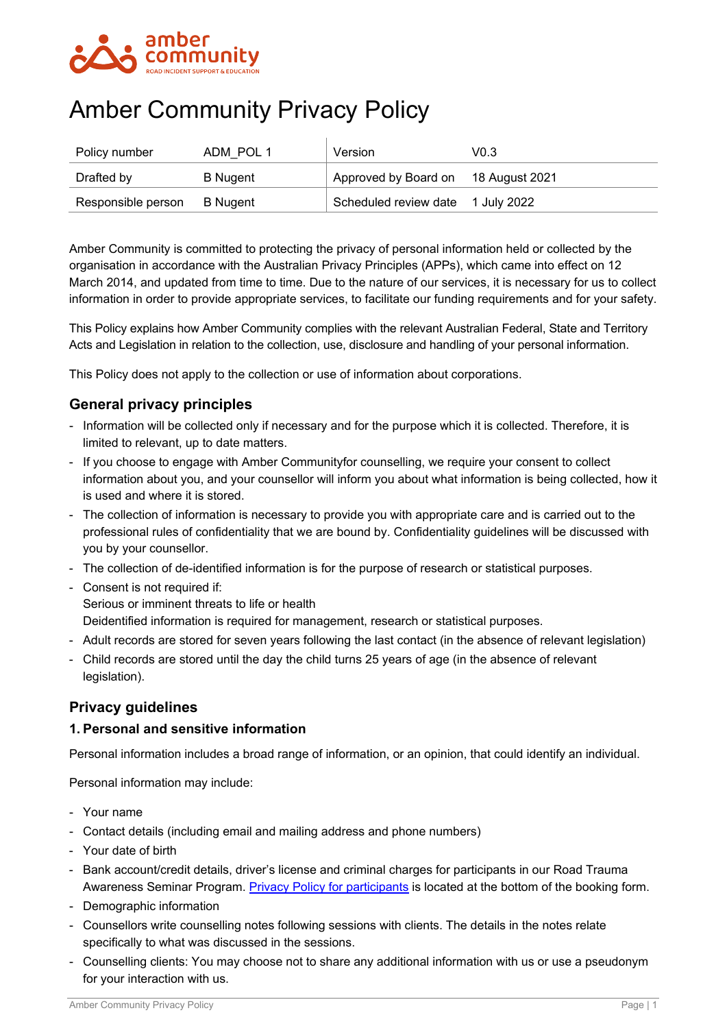

# Amber Community Privacy Policy

| Policy number      | ADM POL 1       | Version                             | VO 3 |
|--------------------|-----------------|-------------------------------------|------|
| Drafted by         | <b>B</b> Nugent | Approved by Board on 18 August 2021 |      |
| Responsible person | B Nuaent        | Scheduled review date 1 July 2022   |      |

Amber Community is committed to protecting the privacy of personal information held or collected by the organisation in accordance with the Australian Privacy Principles (APPs), which came into effect on 12 March 2014, and updated from time to time. Due to the nature of our services, it is necessary for us to collect information in order to provide appropriate services, to facilitate our funding requirements and for your safety.

This Policy explains how Amber Community complies with the relevant Australian Federal, State and Territory Acts and Legislation in relation to the collection, use, disclosure and handling of your personal information.

This Policy does not apply to the collection or use of information about corporations.

# **General privacy principles**

- Information will be collected only if necessary and for the purpose which it is collected. Therefore, it is limited to relevant, up to date matters.
- If you choose to engage with Amber Communityfor counselling, we require your consent to collect information about you, and your counsellor will inform you about what information is being collected, how it is used and where it is stored.
- The collection of information is necessary to provide you with appropriate care and is carried out to the professional rules of confidentiality that we are bound by. Confidentiality guidelines will be discussed with you by your counsellor.
- The collection of de-identified information is for the purpose of research or statistical purposes.
- Consent is not required if: Serious or imminent threats to life or health
- Deidentified information is required for management, research or statistical purposes.
- Adult records are stored for seven years following the last contact (in the absence of relevant legislation)
- Child records are stored until the day the child turns 25 years of age (in the absence of relevant legislation).

## **Privacy guidelines**

#### **1. Personal and sensitive information**

Personal information includes a broad range of information, or an opinion, that could identify an individual.

Personal information may include:

- Your name
- Contact details (including email and mailing address and phone numbers)
- Your date of birth
- Bank account/credit details, driver's license and criminal charges for participants in our Road Trauma Awareness Seminar Program. [Privacy Policy for participants](https://ambercommunity.org.au/rtasonline/) is located at the bottom of the booking form.
- Demographic information
- Counsellors write counselling notes following sessions with clients. The details in the notes relate specifically to what was discussed in the sessions.
- Counselling clients: You may choose not to share any additional information with us or use a pseudonym for your interaction with us.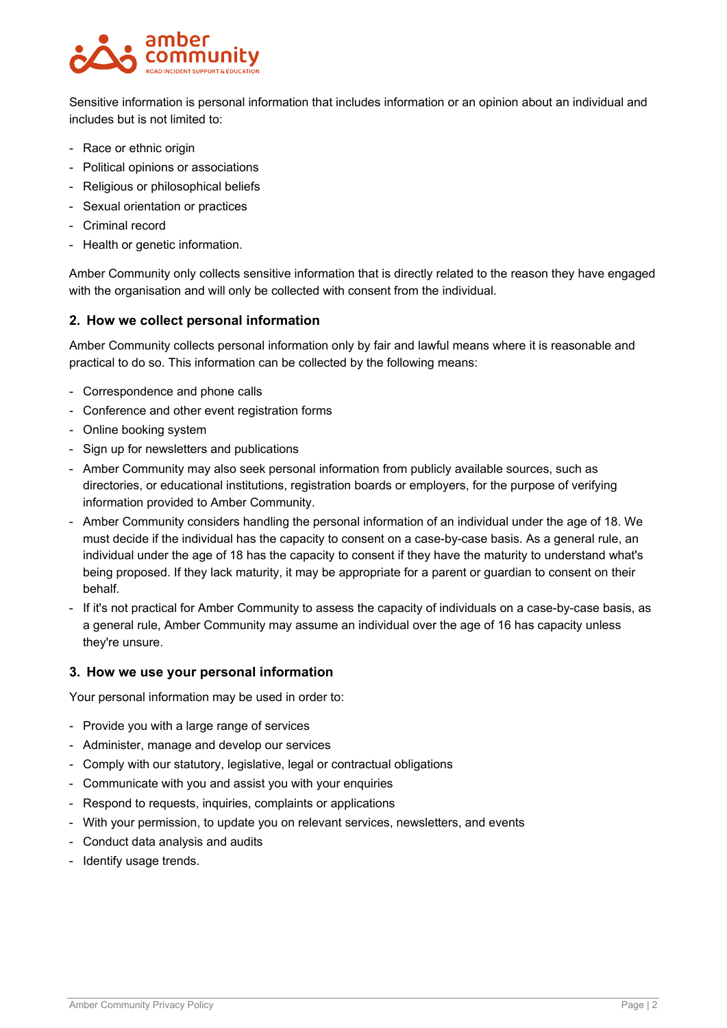

Sensitive information is personal information that includes information or an opinion about an individual and includes but is not limited to:

- Race or ethnic origin
- Political opinions or associations
- Religious or philosophical beliefs
- Sexual orientation or practices
- Criminal record
- Health or genetic information.

Amber Community only collects sensitive information that is directly related to the reason they have engaged with the organisation and will only be collected with consent from the individual.

#### **2. How we collect personal information**

Amber Community collects personal information only by fair and lawful means where it is reasonable and practical to do so. This information can be collected by the following means:

- Correspondence and phone calls
- Conference and other event registration forms
- Online booking system
- Sign up for newsletters and publications
- Amber Community may also seek personal information from publicly available sources, such as directories, or educational institutions, registration boards or employers, for the purpose of verifying information provided to Amber Community.
- Amber Community considers handling the personal information of an individual under the age of 18. We must decide if the individual has the capacity to consent on a case-by-case basis. As a general rule, an individual under the age of 18 has the capacity to consent if they have the maturity to understand what's being proposed. If they lack maturity, it may be appropriate for a parent or guardian to consent on their behalf.
- If it's not practical for Amber Community to assess the capacity of individuals on a case-by-case basis, as a general rule, Amber Community may assume an individual over the age of 16 has capacity unless they're unsure.

#### **3. How we use your personal information**

Your personal information may be used in order to:

- Provide you with a large range of services
- Administer, manage and develop our services
- Comply with our statutory, legislative, legal or contractual obligations
- Communicate with you and assist you with your enquiries
- Respond to requests, inquiries, complaints or applications
- With your permission, to update you on relevant services, newsletters, and events
- Conduct data analysis and audits
- Identify usage trends.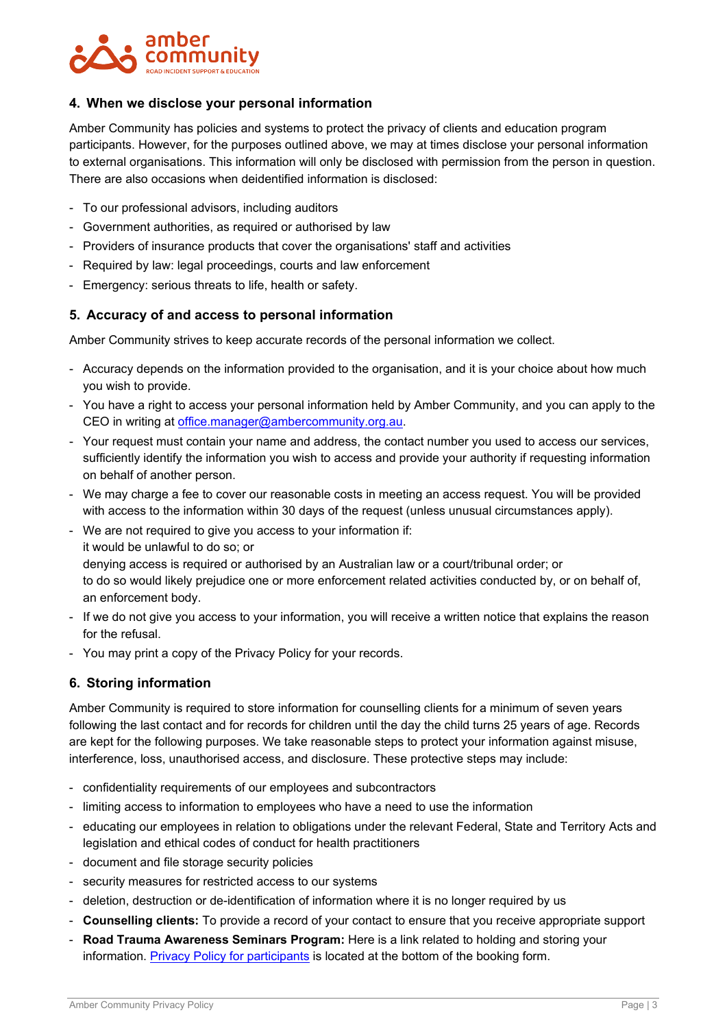

#### **4. When we disclose your personal information**

Amber Community has policies and systems to protect the privacy of clients and education program participants. However, for the purposes outlined above, we may at times disclose your personal information to external organisations. This information will only be disclosed with permission from the person in question. There are also occasions when deidentified information is disclosed:

- To our professional advisors, including auditors
- Government authorities, as required or authorised by law
- Providers of insurance products that cover the organisations' staff and activities
- Required by law: legal proceedings, courts and law enforcement
- Emergency: serious threats to life, health or safety.

#### **5. Accuracy of and access to personal information**

Amber Community strives to keep accurate records of the personal information we collect.

- Accuracy depends on the information provided to the organisation, and it is your choice about how much you wish to provide.
- You have a right to access your personal information held by Amber Community, and you can apply to the CEO in writing at [office.manager@ambercommunity.org.au.](mailto:office.manager@ambercommunity.org.au)
- Your request must contain your name and address, the contact number you used to access our services, sufficiently identify the information you wish to access and provide your authority if requesting information on behalf of another person.
- We may charge a fee to cover our reasonable costs in meeting an access request. You will be provided with access to the information within 30 days of the request (unless unusual circumstances apply).
- We are not required to give you access to your information if: it would be unlawful to do so; or denying access is required or authorised by an Australian law or a court/tribunal order; or to do so would likely prejudice one or more enforcement related activities conducted by, or on behalf of, an enforcement body.
- If we do not give you access to your information, you will receive a written notice that explains the reason for the refusal.
- You may print a copy of the Privacy Policy for your records.

## **6. Storing information**

Amber Community is required to store information for counselling clients for a minimum of seven years following the last contact and for records for children until the day the child turns 25 years of age. Records are kept for the following purposes. We take reasonable steps to protect your information against misuse, interference, loss, unauthorised access, and disclosure. These protective steps may include:

- confidentiality requirements of our employees and subcontractors
- limiting access to information to employees who have a need to use the information
- educating our employees in relation to obligations under the relevant Federal, State and Territory Acts and legislation and ethical codes of conduct for health practitioners
- document and file storage security policies
- security measures for restricted access to our systems
- deletion, destruction or de-identification of information where it is no longer required by us
- **Counselling clients:** To provide a record of your contact to ensure that you receive appropriate support
- **Road Trauma Awareness Seminars Program:** Here is a link related to holding and storing your information. [Privacy Policy for participants](https://ambercommunity.org.au/rtasonline/) is located at the bottom of the booking form.